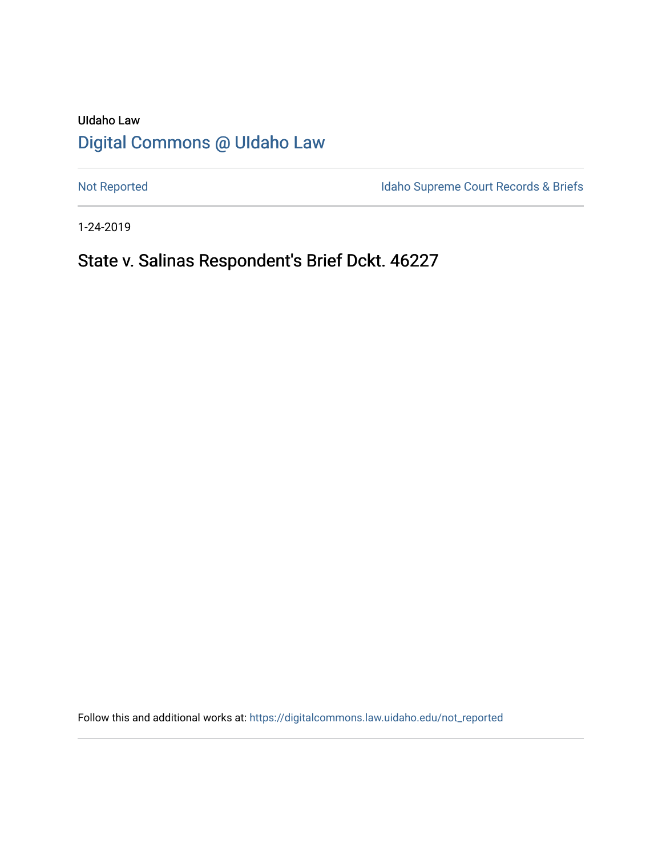# UIdaho Law [Digital Commons @ UIdaho Law](https://digitalcommons.law.uidaho.edu/)

[Not Reported](https://digitalcommons.law.uidaho.edu/not_reported) **Idaho Supreme Court Records & Briefs** 

1-24-2019

# State v. Salinas Respondent's Brief Dckt. 46227

Follow this and additional works at: [https://digitalcommons.law.uidaho.edu/not\\_reported](https://digitalcommons.law.uidaho.edu/not_reported?utm_source=digitalcommons.law.uidaho.edu%2Fnot_reported%2F5368&utm_medium=PDF&utm_campaign=PDFCoverPages)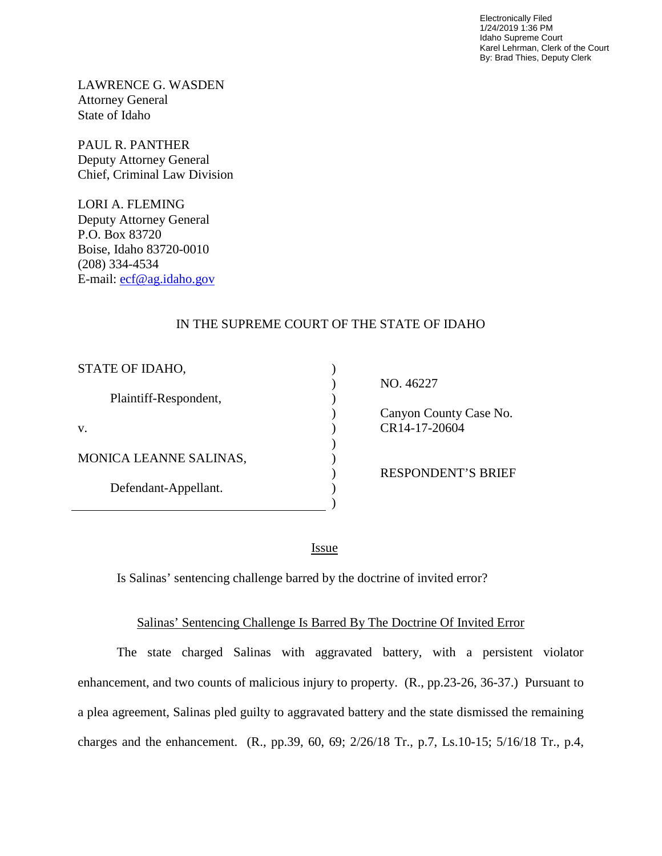Electronically Filed 1/24/2019 1:36 PM Idaho Supreme Court Karel Lehrman, Clerk of the Court By: Brad Thies, Deputy Clerk

LAWRENCE G. WASDEN Attorney General State of Idaho

PAUL R. PANTHER Deputy Attorney General Chief, Criminal Law Division

LORI A. FLEMING Deputy Attorney General P.O. Box 83720 Boise, Idaho 83720-0010 (208) 334-4534 E-mail: [ecf@ag.idaho.gov](mailto:ecf@ag.idaho.gov) 

## IN THE SUPREME COURT OF THE STATE OF IDAHO

| STATE OF IDAHO,        |                           |
|------------------------|---------------------------|
|                        | NO. 46227                 |
| Plaintiff-Respondent,  |                           |
|                        | Canyon County Case No.    |
| V.                     | CR14-17-20604             |
|                        |                           |
| MONICA LEANNE SALINAS, |                           |
|                        | <b>RESPONDENT'S BRIEF</b> |
| Defendant-Appellant.   |                           |
|                        |                           |

<u>Issue</u>

Is Salinas' sentencing challenge barred by the doctrine of invited error?

## Salinas' Sentencing Challenge Is Barred By The Doctrine Of Invited Error

The state charged Salinas with aggravated battery, with a persistent violator enhancement, and two counts of malicious injury to property. (R., pp.23-26, 36-37.) Pursuant to a plea agreement, Salinas pled guilty to aggravated battery and the state dismissed the remaining charges and the enhancement. (R., pp.39, 60, 69; 2/26/18 Tr., p.7, Ls.10-15; 5/16/18 Tr., p.4,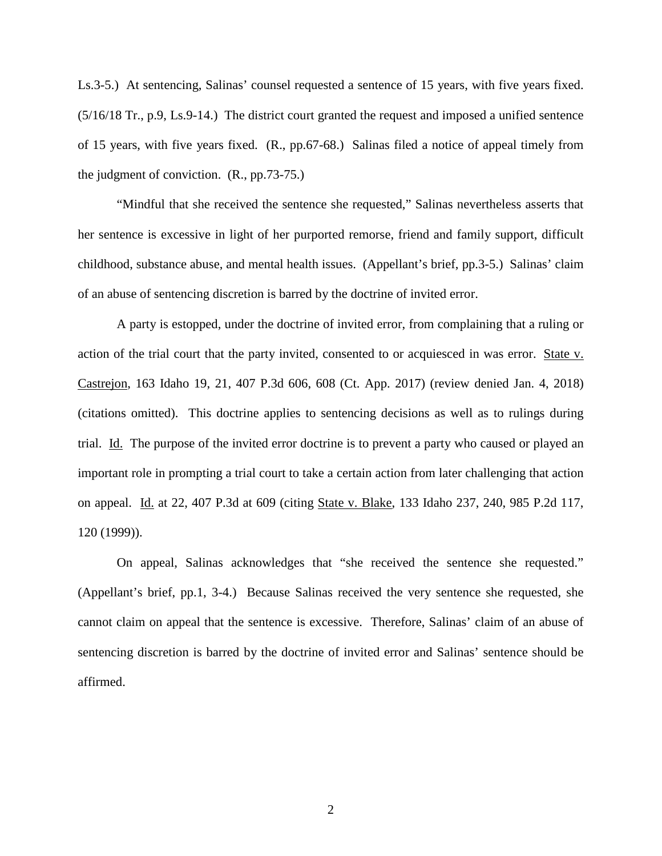Ls.3-5.) At sentencing, Salinas' counsel requested a sentence of 15 years, with five years fixed. (5/16/18 Tr., p.9, Ls.9-14.) The district court granted the request and imposed a unified sentence of 15 years, with five years fixed. (R., pp.67-68.) Salinas filed a notice of appeal timely from the judgment of conviction. (R., pp.73-75.)

"Mindful that she received the sentence she requested," Salinas nevertheless asserts that her sentence is excessive in light of her purported remorse, friend and family support, difficult childhood, substance abuse, and mental health issues. (Appellant's brief, pp.3-5.) Salinas' claim of an abuse of sentencing discretion is barred by the doctrine of invited error.

A party is estopped, under the doctrine of invited error, from complaining that a ruling or action of the trial court that the party invited, consented to or acquiesced in was error. State v. Castrejon, 163 Idaho 19, 21, 407 P.3d 606, 608 (Ct. App. 2017) (review denied Jan. 4, 2018) (citations omitted). This doctrine applies to sentencing decisions as well as to rulings during trial. Id. The purpose of the invited error doctrine is to prevent a party who caused or played an important role in prompting a trial court to take a certain action from later challenging that action on appeal. Id. at 22, 407 P.3d at 609 (citing State v. Blake, 133 Idaho 237, 240, 985 P.2d 117, 120 (1999)).

On appeal, Salinas acknowledges that "she received the sentence she requested." (Appellant's brief, pp.1, 3-4.) Because Salinas received the very sentence she requested, she cannot claim on appeal that the sentence is excessive. Therefore, Salinas' claim of an abuse of sentencing discretion is barred by the doctrine of invited error and Salinas' sentence should be affirmed.